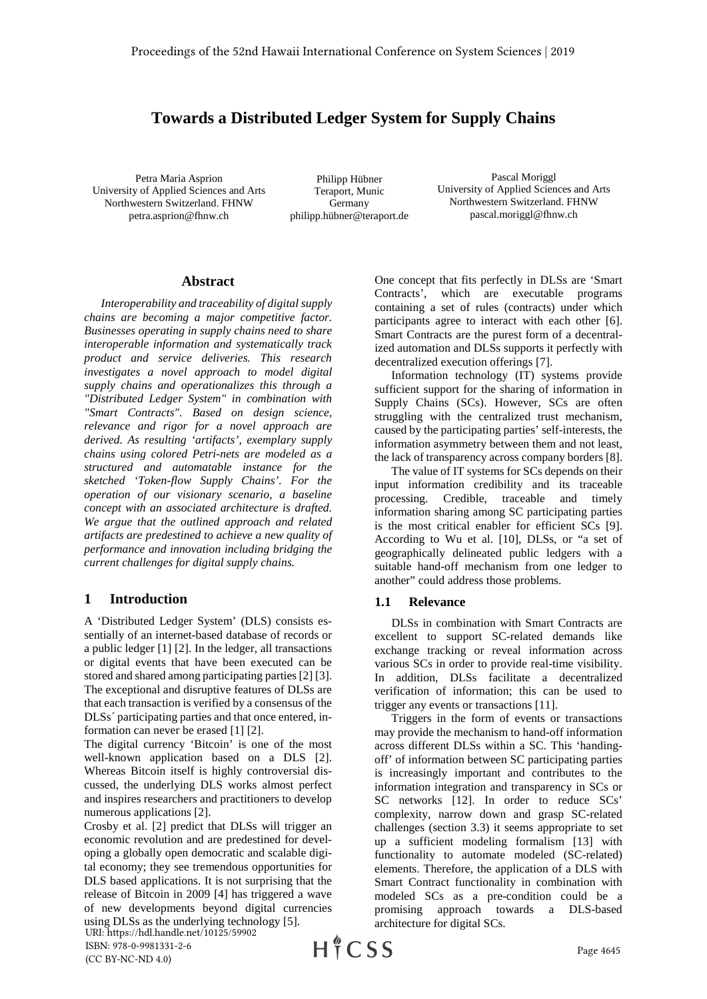# **Towards a Distributed Ledger System for Supply Chains**

Petra Maria Asprion University of Applied Sciences and Arts Northwestern Switzerland. FHNW petra.asprion@fhnw.ch

Philipp Hübner Teraport, Munic Germany philipp.hübner@teraport.de

Pascal Moriggl University of Applied Sciences and Arts Northwestern Switzerland. FHNW pascal.moriggl@fhnw.ch

#### **Abstract**

*Interoperability and traceability of digital supply chains are becoming a major competitive factor. Businesses operating in supply chains need to share interoperable information and systematically track product and service deliveries. This research investigates a novel approach to model digital supply chains and operationalizes this through a "Distributed Ledger System" in combination with "Smart Contracts". Based on design science, relevance and rigor for a novel approach are derived. As resulting 'artifacts', exemplary supply chains using colored Petri-nets are modeled as a structured and automatable instance for the sketched 'Token-flow Supply Chains'. For the operation of our visionary scenario, a baseline concept with an associated architecture is drafted. We argue that the outlined approach and related artifacts are predestined to achieve a new quality of performance and innovation including bridging the current challenges for digital supply chains.*

#### **1 Introduction**

A 'Distributed Ledger System' (DLS) consists essentially of an internet-based database of records or a public ledger [1] [2]. In the ledger, all transactions or digital events that have been executed can be stored and shared among participating parties[2] [3]. The exceptional and disruptive features of DLSs are that each transaction is verified by a consensus of the DLSs´ participating parties and that once entered, information can never be erased [1] [2].

The digital currency 'Bitcoin' is one of the most well-known application based on a DLS [2]. Whereas Bitcoin itself is highly controversial discussed, the underlying DLS works almost perfect and inspires researchers and practitioners to develop numerous applications [2].

Crosby et al. [2] predict that DLSs will trigger an economic revolution and are predestined for developing a globally open democratic and scalable digital economy; they see tremendous opportunities for DLS based applications. It is not surprising that the release of Bitcoin in 2009 [4] has triggered a wave of new developments beyond digital currencies using DLSs as the underlying technology [5].

URI: https://hdl.handle.net/10125/59902

One concept that fits perfectly in DLSs are 'Smart Contracts', which are executable programs containing a set of rules (contracts) under which participants agree to interact with each other [6]. Smart Contracts are the purest form of a decentralized automation and DLSs supports it perfectly with decentralized execution offerings [7].

Information technology (IT) systems provide sufficient support for the sharing of information in Supply Chains (SCs). However, SCs are often struggling with the centralized trust mechanism, caused by the participating parties' self-interests, the information asymmetry between them and not least, the lack of transparency across company borders [8].

The value of IT systems for SCs depends on their input information credibility and its traceable processing. Credible, traceable and timely information sharing among SC participating parties is the most critical enabler for efficient SCs [9]. According to Wu et al. [10], DLSs, or "a set of geographically delineated public ledgers with a suitable hand-off mechanism from one ledger to another" could address those problems.

## **1.1 Relevance**

DLSs in combination with Smart Contracts are excellent to support SC-related demands like exchange tracking or reveal information across various SCs in order to provide real-time visibility. In addition, DLSs facilitate a decentralized verification of information; this can be used to trigger any events or transactions [11].

Triggers in the form of events or transactions may provide the mechanism to hand-off information across different DLSs within a SC. This 'handingoff' of information between SC participating parties is increasingly important and contributes to the information integration and transparency in SCs or SC networks [12]. In order to reduce SCs' complexity, narrow down and grasp SC-related challenges (section 3.3) it seems appropriate to set up a sufficient modeling formalism [13] with functionality to automate modeled (SC-related) elements. Therefore, the application of a DLS with Smart Contract functionality in combination with modeled SCs as a pre-condition could be a promising approach towards a DLS-based architecture for digital SCs.

ISBN: 978-0-9981331-2-6 (CC BY-NC-ND 4.0)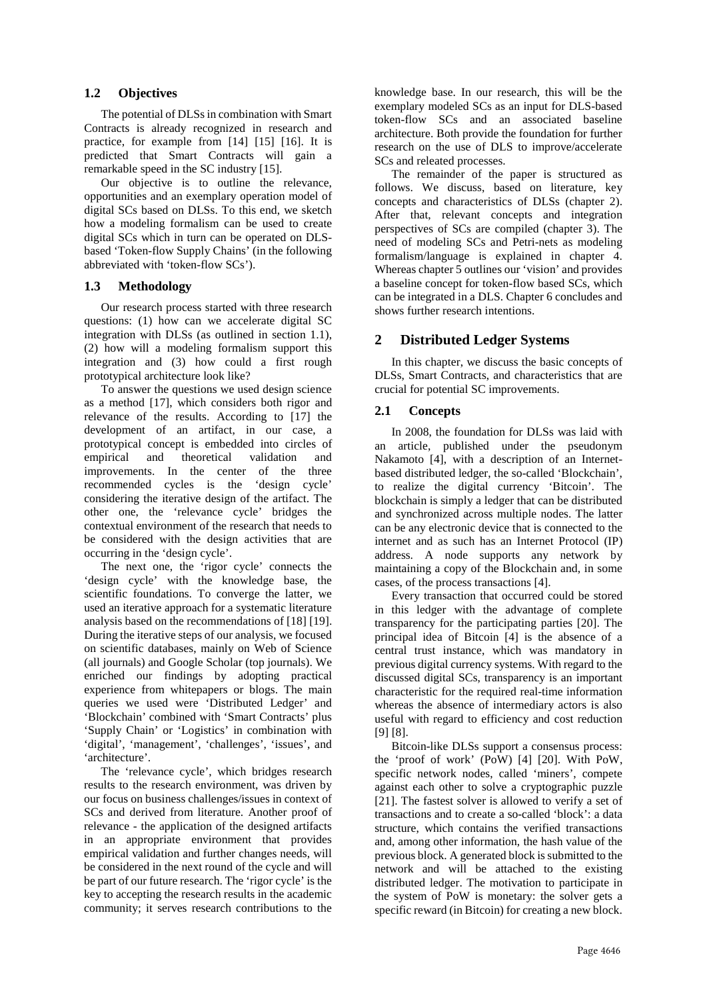# **1.2 Objectives**

The potential of DLSs in combination with Smart Contracts is already recognized in research and practice, for example from [14] [15] [16]. It is predicted that Smart Contracts will gain a remarkable speed in the SC industry [15].

Our objective is to outline the relevance, opportunities and an exemplary operation model of digital SCs based on DLSs. To this end, we sketch how a modeling formalism can be used to create digital SCs which in turn can be operated on DLSbased 'Token-flow Supply Chains' (in the following abbreviated with 'token-flow SCs').

# **1.3 Methodology**

Our research process started with three research questions: (1) how can we accelerate digital SC integration with DLSs (as outlined in section 1.1), (2) how will a modeling formalism support this integration and (3) how could a first rough prototypical architecture look like?

To answer the questions we used design science as a method [17], which considers both rigor and relevance of the results. According to [17] the development of an artifact, in our case, a prototypical concept is embedded into circles of empirical and theoretical validation and improvements. In the center of the three recommended cycles is the 'design cycle' considering the iterative design of the artifact. The other one, the 'relevance cycle' bridges the contextual environment of the research that needs to be considered with the design activities that are occurring in the 'design cycle'.

The next one, the 'rigor cycle' connects the 'design cycle' with the knowledge base, the scientific foundations. To converge the latter, we used an iterative approach for a systematic literature analysis based on the recommendations of [18] [19]. During the iterative steps of our analysis, we focused on scientific databases, mainly on Web of Science (all journals) and Google Scholar (top journals). We enriched our findings by adopting practical experience from whitepapers or blogs. The main queries we used were 'Distributed Ledger' and 'Blockchain' combined with 'Smart Contracts' plus 'Supply Chain' or 'Logistics' in combination with 'digital', 'management', 'challenges', 'issues', and 'architecture'.

The 'relevance cycle', which bridges research results to the research environment, was driven by our focus on business challenges/issues in context of SCs and derived from literature. Another proof of relevance - the application of the designed artifacts in an appropriate environment that provides empirical validation and further changes needs, will be considered in the next round of the cycle and will be part of our future research. The 'rigor cycle' is the key to accepting the research results in the academic community; it serves research contributions to the

knowledge base. In our research, this will be the exemplary modeled SCs as an input for DLS-based token-flow SCs and an associated baseline architecture. Both provide the foundation for further research on the use of DLS to improve/accelerate SCs and releated processes.

The remainder of the paper is structured as follows. We discuss, based on literature, key concepts and characteristics of DLSs (chapter 2). After that, relevant concepts and integration perspectives of SCs are compiled (chapter 3). The need of modeling SCs and Petri-nets as modeling formalism/language is explained in chapter 4. Whereas chapter 5 outlines our 'vision' and provides a baseline concept for token-flow based SCs, which can be integrated in a DLS. Chapter 6 concludes and shows further research intentions.

# **2 Distributed Ledger Systems**

In this chapter, we discuss the basic concepts of DLSs, Smart Contracts, and characteristics that are crucial for potential SC improvements.

# **2.1 Concepts**

In 2008, the foundation for DLSs was laid with an article, published under the pseudonym Nakamoto [4], with a description of an Internetbased distributed ledger, the so-called 'Blockchain', to realize the digital currency 'Bitcoin'. The blockchain is simply a ledger that can be distributed and synchronized across multiple nodes. The latter can be any electronic device that is connected to the internet and as such has an Internet Protocol (IP) address. A node supports any network by maintaining a copy of the Blockchain and, in some cases, of the process transactions [4].

Every transaction that occurred could be stored in this ledger with the advantage of complete transparency for the participating parties [20]. The principal idea of Bitcoin [4] is the absence of a central trust instance, which was mandatory in previous digital currency systems. With regard to the discussed digital SCs, transparency is an important characteristic for the required real-time information whereas the absence of intermediary actors is also useful with regard to efficiency and cost reduction [9] [8].

Bitcoin-like DLSs support a consensus process: the 'proof of work' (PoW) [4] [20]. With PoW, specific network nodes, called 'miners', compete against each other to solve a cryptographic puzzle [21]. The fastest solver is allowed to verify a set of transactions and to create a so-called 'block': a data structure, which contains the verified transactions and, among other information, the hash value of the previous block. A generated block is submitted to the network and will be attached to the existing distributed ledger. The motivation to participate in the system of PoW is monetary: the solver gets a specific reward (in Bitcoin) for creating a new block.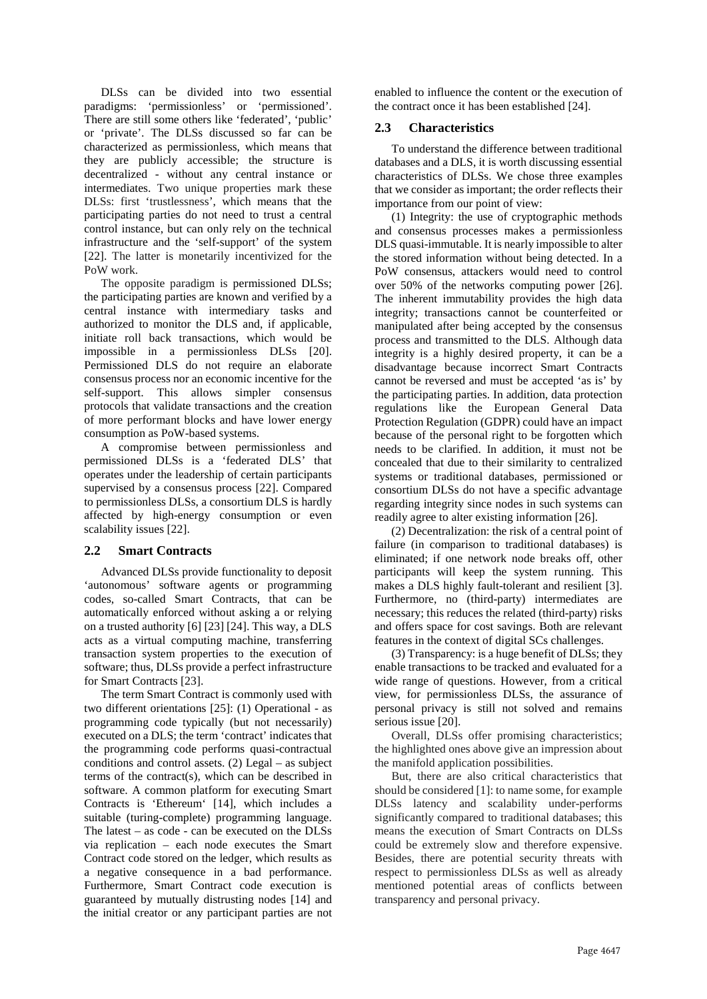DLSs can be divided into two essential paradigms: 'permissionless' or 'permissioned'. There are still some others like 'federated', 'public' or 'private'. The DLSs discussed so far can be characterized as permissionless, which means that they are publicly accessible; the structure is decentralized - without any central instance or intermediates. Two unique properties mark these DLSs: first 'trustlessness', which means that the participating parties do not need to trust a central control instance, but can only rely on the technical infrastructure and the 'self-support' of the system [22]. The latter is monetarily incentivized for the PoW work.

The opposite paradigm is permissioned DLSs; the participating parties are known and verified by a central instance with intermediary tasks and authorized to monitor the DLS and, if applicable, initiate roll back transactions, which would be impossible in a permissionless DLSs [20]. Permissioned DLS do not require an elaborate consensus process nor an economic incentive for the self-support. This allows simpler consensus protocols that validate transactions and the creation of more performant blocks and have lower energy consumption as PoW-based systems.

A compromise between permissionless and permissioned DLSs is a 'federated DLS' that operates under the leadership of certain participants supervised by a consensus process [22]. Compared to permissionless DLSs, a consortium DLS is hardly affected by high-energy consumption or even scalability issues [22].

# **2.2 Smart Contracts**

Advanced DLSs provide functionality to deposit 'autonomous' software agents or programming codes, so-called Smart Contracts, that can be automatically enforced without asking a or relying on a trusted authority [6] [23] [24]. This way, a DLS acts as a virtual computing machine, transferring transaction system properties to the execution of software; thus, DLSs provide a perfect infrastructure for Smart Contracts [23].

The term Smart Contract is commonly used with two different orientations [25]: (1) Operational - as programming code typically (but not necessarily) executed on a DLS; the term 'contract' indicates that the programming code performs quasi-contractual conditions and control assets. (2) Legal – as subject terms of the contract(s), which can be described in software. A common platform for executing Smart Contracts is 'Ethereum' [14], which includes a suitable (turing-complete) programming language. The latest – as code - can be executed on the DLSs via replication – each node executes the Smart Contract code stored on the ledger, which results as a negative consequence in a bad performance. Furthermore, Smart Contract code execution is guaranteed by mutually distrusting nodes [14] and the initial creator or any participant parties are not

enabled to influence the content or the execution of the contract once it has been established [24].

# **2.3 Characteristics**

To understand the difference between traditional databases and a DLS, it is worth discussing essential characteristics of DLSs. We chose three examples that we consider as important; the order reflects their importance from our point of view:

(1) Integrity: the use of cryptographic methods and consensus processes makes a permissionless DLS quasi-immutable. It is nearly impossible to alter the stored information without being detected. In a PoW consensus, attackers would need to control over 50% of the networks computing power [26]. The inherent immutability provides the high data integrity; transactions cannot be counterfeited or manipulated after being accepted by the consensus process and transmitted to the DLS. Although data integrity is a highly desired property, it can be a disadvantage because incorrect Smart Contracts cannot be reversed and must be accepted 'as is' by the participating parties. In addition, data protection regulations like the European General Data Protection Regulation (GDPR) could have an impact because of the personal right to be forgotten which needs to be clarified. In addition, it must not be concealed that due to their similarity to centralized systems or traditional databases, permissioned or consortium DLSs do not have a specific advantage regarding integrity since nodes in such systems can readily agree to alter existing information [26].

(2) Decentralization: the risk of a central point of failure (in comparison to traditional databases) is eliminated; if one network node breaks off, other participants will keep the system running. This makes a DLS highly fault-tolerant and resilient [3]. Furthermore, no (third-party) intermediates are necessary; this reduces the related (third-party) risks and offers space for cost savings. Both are relevant features in the context of digital SCs challenges.

(3) Transparency: is a huge benefit of DLSs; they enable transactions to be tracked and evaluated for a wide range of questions. However, from a critical view, for permissionless DLSs, the assurance of personal privacy is still not solved and remains serious issue [20].

Overall, DLSs offer promising characteristics; the highlighted ones above give an impression about the manifold application possibilities.

But, there are also critical characteristics that should be considered [1]: to name some, for example DLSs latency and scalability under-performs significantly compared to traditional databases; this means the execution of Smart Contracts on DLSs could be extremely slow and therefore expensive. Besides, there are potential security threats with respect to permissionless DLSs as well as already mentioned potential areas of conflicts between transparency and personal privacy.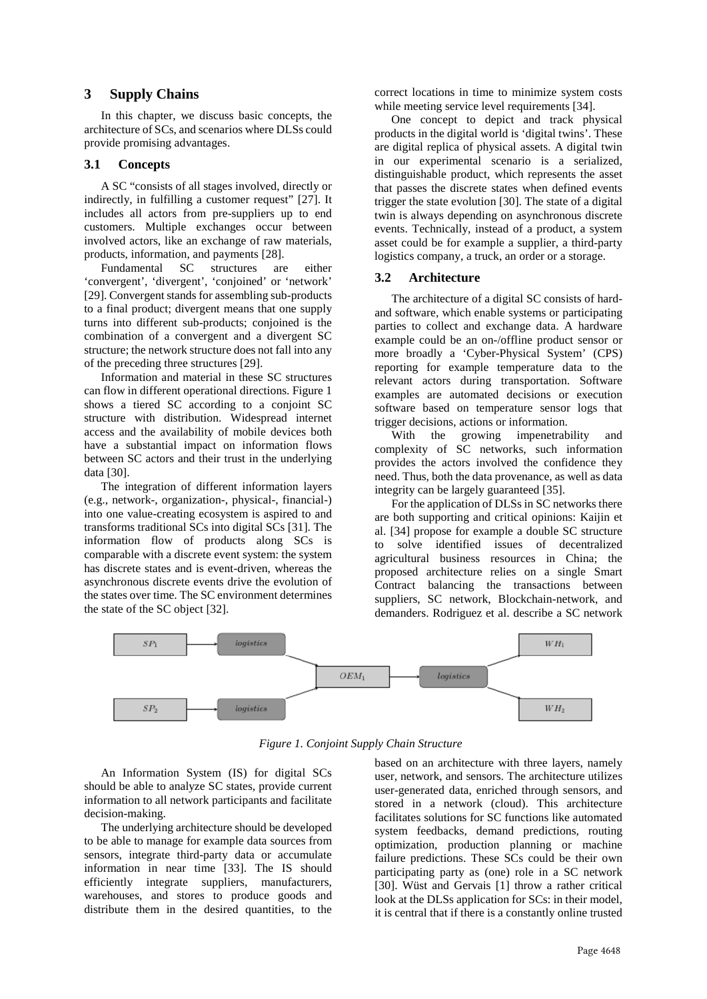#### **3 Supply Chains**

In this chapter, we discuss basic concepts, the architecture of SCs, and scenarios where DLSs could provide promising advantages.

#### **3.1 Concepts**

A SC "consists of all stages involved, directly or indirectly, in fulfilling a customer request" [27]. It includes all actors from pre-suppliers up to end customers. Multiple exchanges occur between involved actors, like an exchange of raw materials, products, information, and payments [28].<br>Fundamental SC structures are

Fundamental SC structures are either 'convergent', 'divergent', 'conjoined' or 'network' [29]. Convergent stands for assembling sub-products to a final product; divergent means that one supply turns into different sub-products; conjoined is the combination of a convergent and a divergent SC structure; the network structure does not fall into any of the preceding three structures [29].

Information and material in these SC structures can flow in different operational directions. Figure 1 shows a tiered SC according to a conjoint SC structure with distribution. Widespread internet access and the availability of mobile devices both have a substantial impact on information flows between SC actors and their trust in the underlying data [30].

The integration of different information layers (e.g., network-, organization-, physical-, financial-) into one value-creating ecosystem is aspired to and transforms traditional SCs into digital SCs [31]. The information flow of products along SCs is comparable with a discrete event system: the system has discrete states and is event-driven, whereas the asynchronous discrete events drive the evolution of the states over time. The SC environment determines the state of the SC object [32].

correct locations in time to minimize system costs while meeting service level requirements [34].

One concept to depict and track physical products in the digital world is 'digital twins'. These are digital replica of physical assets. A digital twin in our experimental scenario is a serialized, distinguishable product, which represents the asset that passes the discrete states when defined events trigger the state evolution [30]. The state of a digital twin is always depending on asynchronous discrete events. Technically, instead of a product, a system asset could be for example a supplier, a third-party logistics company, a truck, an order or a storage.

## **3.2 Architecture**

The architecture of a digital SC consists of hardand software, which enable systems or participating parties to collect and exchange data. A hardware example could be an on-/offline product sensor or more broadly a 'Cyber-Physical System' (CPS) reporting for example temperature data to the relevant actors during transportation. Software examples are automated decisions or execution software based on temperature sensor logs that trigger decisions, actions or information.

With the growing impenetrability and complexity of SC networks, such information provides the actors involved the confidence they need. Thus, both the data provenance, as well as data integrity can be largely guaranteed [35].

For the application of DLSs in SC networks there are both supporting and critical opinions: Kaijin et al. [34] propose for example a double SC structure to solve identified issues of decentralized agricultural business resources in China; the proposed architecture relies on a single Smart Contract balancing the transactions between suppliers, SC network, Blockchain-network, and demanders. Rodriguez et al. describe a SC network



*Figure 1. Conjoint Supply Chain Structure*

An Information System (IS) for digital SCs should be able to analyze SC states, provide current information to all network participants and facilitate decision-making.

The underlying architecture should be developed to be able to manage for example data sources from sensors, integrate third-party data or accumulate information in near time [33]. The IS should efficiently integrate suppliers, manufacturers, warehouses, and stores to produce goods and distribute them in the desired quantities, to the

based on an architecture with three layers, namely user, network, and sensors. The architecture utilizes user-generated data, enriched through sensors, and stored in a network (cloud). This architecture facilitates solutions for SC functions like automated system feedbacks, demand predictions, routing optimization, production planning or machine failure predictions. These SCs could be their own participating party as (one) role in a SC network [30]. Wüst and Gervais [1] throw a rather critical look at the DLSs application for SCs: in their model, it is central that if there is a constantly online trusted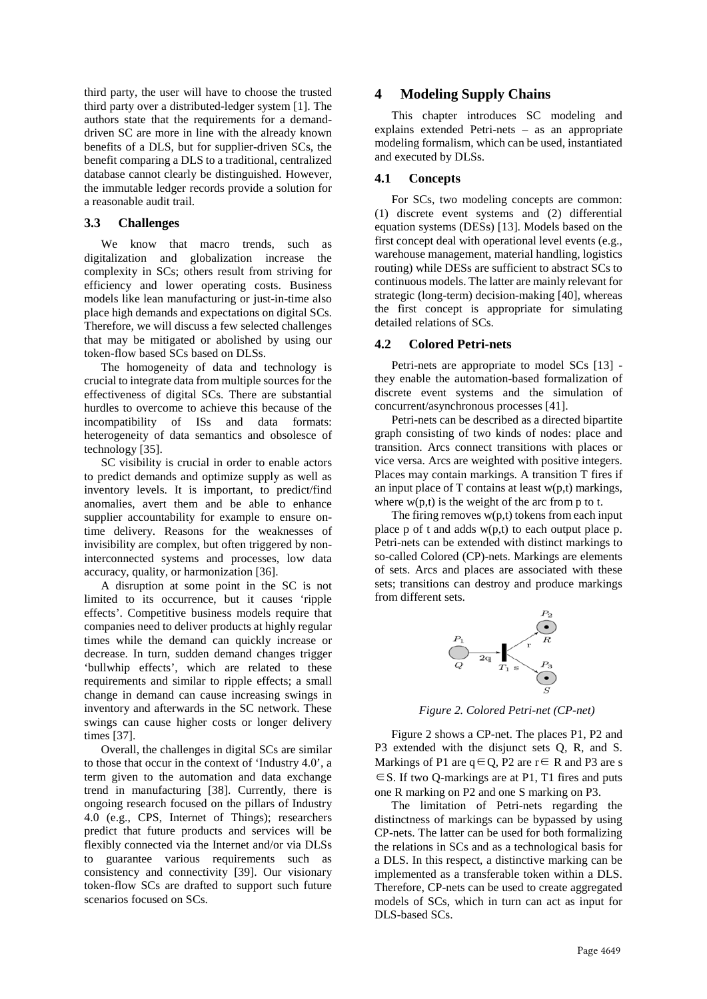third party, the user will have to choose the trusted third party over a distributed-ledger system [1]. The authors state that the requirements for a demanddriven SC are more in line with the already known benefits of a DLS, but for supplier-driven SCs, the benefit comparing a DLS to a traditional, centralized database cannot clearly be distinguished. However, the immutable ledger records provide a solution for a reasonable audit trail.

#### **3.3 Challenges**

We know that macro trends, such as digitalization and globalization increase the complexity in SCs; others result from striving for efficiency and lower operating costs. Business models like lean manufacturing or just-in-time also place high demands and expectations on digital SCs. Therefore, we will discuss a few selected challenges that may be mitigated or abolished by using our token-flow based SCs based on DLSs.

The homogeneity of data and technology is crucial to integrate data from multiple sources for the effectiveness of digital SCs. There are substantial hurdles to overcome to achieve this because of the incompatibility of ISs and data formats: heterogeneity of data semantics and obsolesce of technology [35].

SC visibility is crucial in order to enable actors to predict demands and optimize supply as well as inventory levels. It is important, to predict/find anomalies, avert them and be able to enhance supplier accountability for example to ensure ontime delivery. Reasons for the weaknesses of invisibility are complex, but often triggered by noninterconnected systems and processes, low data accuracy, quality, or harmonization [36].

A disruption at some point in the SC is not limited to its occurrence, but it causes 'ripple effects'. Competitive business models require that companies need to deliver products at highly regular times while the demand can quickly increase or decrease. In turn, sudden demand changes trigger 'bullwhip effects', which are related to these requirements and similar to ripple effects; a small change in demand can cause increasing swings in inventory and afterwards in the SC network. These swings can cause higher costs or longer delivery times [37].

Overall, the challenges in digital SCs are similar to those that occur in the context of 'Industry 4.0', a term given to the automation and data exchange trend in manufacturing [38]. Currently, there is ongoing research focused on the pillars of Industry 4.0 (e.g., CPS, Internet of Things); researchers predict that future products and services will be flexibly connected via the Internet and/or via DLSs to guarantee various requirements such as consistency and connectivity [39]. Our visionary token-flow SCs are drafted to support such future scenarios focused on SCs.

## **4 Modeling Supply Chains**

This chapter introduces SC modeling and explains extended Petri-nets – as an appropriate modeling formalism, which can be used, instantiated and executed by DLSs.

#### **4.1 Concepts**

For SCs, two modeling concepts are common: (1) discrete event systems and (2) differential equation systems (DESs) [13]. Models based on the first concept deal with operational level events (e.g., warehouse management, material handling, logistics routing) while DESs are sufficient to abstract SCs to continuous models. The latter are mainly relevant for strategic (long-term) decision-making [40], whereas the first concept is appropriate for simulating detailed relations of SCs.

#### **4.2 Colored Petri-nets**

Petri-nets are appropriate to model SCs [13] they enable the automation-based formalization of discrete event systems and the simulation of concurrent/asynchronous processes [41].

Petri-nets can be described as a directed bipartite graph consisting of two kinds of nodes: place and transition. Arcs connect transitions with places or vice versa. Arcs are weighted with positive integers. Places may contain markings. A transition T fires if an input place of  $T$  contains at least  $w(p,t)$  markings, where  $w(p,t)$  is the weight of the arc from p to t.

The firing removes  $w(p,t)$  tokens from each input place p of t and adds w(p,t) to each output place p. Petri-nets can be extended with distinct markings to so-called Colored (CP)-nets. Markings are elements of sets. Arcs and places are associated with these sets; transitions can destroy and produce markings from different sets.



*Figure 2. Colored Petri-net (CP-net)*

Figure 2 shows a CP-net. The places P1, P2 and P3 extended with the disjunct sets Q, R, and S. Markings of P1 are  $q \in Q$ , P2 are  $r \in R$  and P3 are s ∈S. If two Q-markings are at P1, T1 fires and puts one R marking on P2 and one S marking on P3.

The limitation of Petri-nets regarding the distinctness of markings can be bypassed by using CP-nets. The latter can be used for both formalizing the relations in SCs and as a technological basis for a DLS. In this respect, a distinctive marking can be implemented as a transferable token within a DLS. Therefore, CP-nets can be used to create aggregated models of SCs, which in turn can act as input for DLS-based SCs.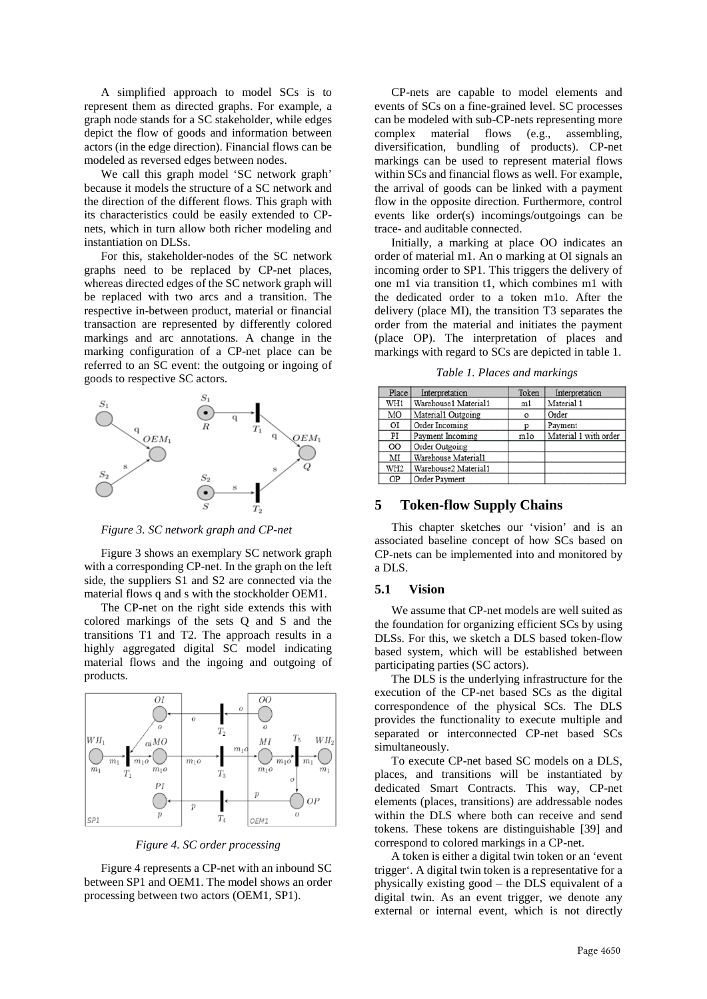A simplified approach to model SCs is to represent them as directed graphs. For example, a graph node stands for a SC stakeholder, while edges depict the flow of goods and information between actors (in the edge direction). Financial flows can be modeled as reversed edges between nodes.

We call this graph model 'SC network graph' because it models the structure of a SC network and the direction of the different flows. This graph with its characteristics could be easily extended to CPnets, which in turn allow both richer modeling and instantiation on DLSs.

For this, stakeholder-nodes of the SC network graphs need to be replaced by CP-net places, whereas directed edges of the SC network graph will be replaced with two arcs and a transition. The respective in-between product, material or financial transaction are represented by differently colored markings and arc annotations. A change in the marking configuration of a CP-net place can be referred to an SC event: the outgoing or ingoing of goods to respective SC actors.



*Figure 3. SC network graph and CP-net*

Figure 3 shows an exemplary SC network graph with a corresponding CP-net. In the graph on the left side, the suppliers S1 and S2 are connected via the material flows q and s with the stockholder OEM1.

The CP-net on the right side extends this with colored markings of the sets Q and S and the transitions T1 and T2. The approach results in a highly aggregated digital SC model indicating material flows and the ingoing and outgoing of products.



*Figure 4. SC order processing*

Figure 4 represents a CP-net with an inbound SC between SP1 and OEM1. The model shows an order processing between two actors (OEM1, SP1).

CP-nets are capable to model elements and events of SCs on a fine-grained level. SC processes can be modeled with sub-CP-nets representing more complex material flows (e.g., assembling, diversification, bundling of products). CP-net markings can be used to represent material flows within SCs and financial flows as well. For example, the arrival of goods can be linked with a payment flow in the opposite direction. Furthermore, control events like order(s) incomings/outgoings can be trace- and auditable connected.

Initially, a marking at place OO indicates an order of material m1. An o marking at OI signals an incoming order to SP1. This triggers the delivery of one m1 via transition t1, which combines m1 with the dedicated order to a token m1o. After the delivery (place MI), the transition T3 separates the order from the material and initiates the payment (place OP). The interpretation of places and markings with regard to SCs are depicted in table 1.

*Table 1. Places and markings*

| Place           | Interpretation       | Token   | Interpretation        |
|-----------------|----------------------|---------|-----------------------|
| WH1             | Warehouse1 Material1 | m1      | Material 1            |
| MO              | Material1 Outgoing   | $\circ$ | Order                 |
| ΟI              | Order Incoming       |         | Payment               |
| PI              | Payment Incoming     | mlo     | Material 1 with order |
| <sub>00</sub>   | Order Outgoing       |         |                       |
| MI              | Warehouse Material1  |         |                       |
| WH <sub>2</sub> | Warehouse2 Material1 |         |                       |
| OP              | Order Payment        |         |                       |

## **5 Token-flow Supply Chains**

This chapter sketches our 'vision' and is an associated baseline concept of how SCs based on CP-nets can be implemented into and monitored by a DLS.

#### **5.1 Vision**

We assume that CP-net models are well suited as the foundation for organizing efficient SCs by using DLSs. For this, we sketch a DLS based token-flow based system, which will be established between participating parties (SC actors).

The DLS is the underlying infrastructure for the execution of the CP-net based SCs as the digital correspondence of the physical SCs. The DLS provides the functionality to execute multiple and separated or interconnected CP-net based SCs simultaneously.

To execute CP-net based SC models on a DLS, places, and transitions will be instantiated by dedicated Smart Contracts. This way, CP-net elements (places, transitions) are addressable nodes within the DLS where both can receive and send tokens. These tokens are distinguishable [39] and correspond to colored markings in a CP-net.

A token is either a digital twin token or an 'event trigger'. A digital twin token is a representative for a physically existing good – the DLS equivalent of a digital twin. As an event trigger, we denote any external or internal event, which is not directly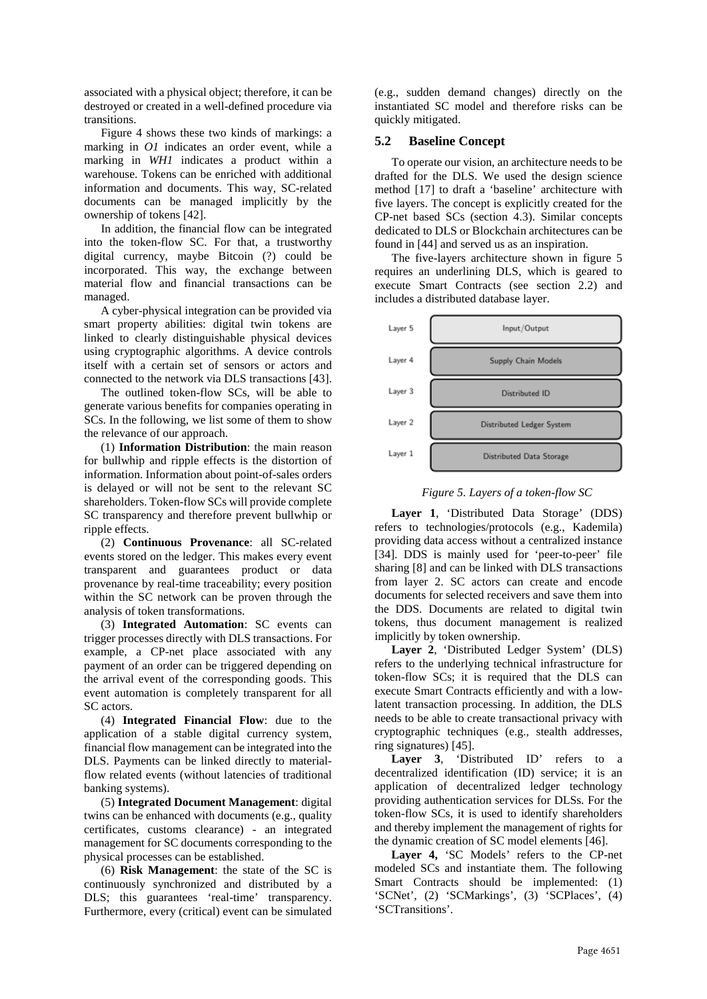associated with a physical object; therefore, it can be destroyed or created in a well-defined procedure via transitions.

Figure 4 shows these two kinds of markings: a marking in *O1* indicates an order event, while a marking in *WH1* indicates a product within a warehouse. Tokens can be enriched with additional information and documents. This way, SC-related documents can be managed implicitly by the ownership of tokens [42].

In addition, the financial flow can be integrated into the token-flow SC. For that, a trustworthy digital currency, maybe Bitcoin (?) could be incorporated. This way, the exchange between material flow and financial transactions can be managed.

A cyber-physical integration can be provided via smart property abilities: digital twin tokens are linked to clearly distinguishable physical devices using cryptographic algorithms. A device controls itself with a certain set of sensors or actors and connected to the network via DLS transactions [43].

The outlined token-flow SCs, will be able to generate various benefits for companies operating in SCs. In the following, we list some of them to show the relevance of our approach.

(1) **Information Distribution**: the main reason for bullwhip and ripple effects is the distortion of information. Information about point-of-sales orders is delayed or will not be sent to the relevant SC shareholders. Token-flow SCs will provide complete SC transparency and therefore prevent bullwhip or ripple effects.

(2) **Continuous Provenance**: all SC-related events stored on the ledger. This makes every event transparent and guarantees product or data provenance by real-time traceability; every position within the SC network can be proven through the analysis of token transformations.

(3) **Integrated Automation**: SC events can trigger processes directly with DLS transactions. For example, a CP-net place associated with any payment of an order can be triggered depending on the arrival event of the corresponding goods. This event automation is completely transparent for all SC actors.

(4) **Integrated Financial Flow**: due to the application of a stable digital currency system, financial flow management can be integrated into the DLS. Payments can be linked directly to materialflow related events (without latencies of traditional banking systems).

(5) **Integrated Document Management**: digital twins can be enhanced with documents (e.g., quality certificates, customs clearance) - an integrated management for SC documents corresponding to the physical processes can be established.

(6) **Risk Management**: the state of the SC is continuously synchronized and distributed by a DLS; this guarantees 'real-time' transparency. Furthermore, every (critical) event can be simulated (e.g., sudden demand changes) directly on the instantiated SC model and therefore risks can be quickly mitigated.

#### **5.2 Baseline Concept**

To operate our vision, an architecture needs to be drafted for the DLS. We used the design science method [17] to draft a 'baseline' architecture with five layers. The concept is explicitly created for the CP-net based SCs (section 4.3). Similar concepts dedicated to DLS or Blockchain architectures can be found in [44] and served us as an inspiration.

The five-layers architecture shown in figure 5 requires an underlining DLS, which is geared to execute Smart Contracts (see section 2.2) and includes a distributed database layer.



#### *Figure 5. Layers of a token-flow SC*

**Layer 1**, 'Distributed Data Storage' (DDS) refers to technologies/protocols (e.g., Kademila) providing data access without a centralized instance [34]. DDS is mainly used for 'peer-to-peer' file sharing [8] and can be linked with DLS transactions from layer 2. SC actors can create and encode documents for selected receivers and save them into the DDS. Documents are related to digital twin tokens, thus document management is realized implicitly by token ownership.

**Layer 2**, 'Distributed Ledger System' (DLS) refers to the underlying technical infrastructure for token-flow SCs; it is required that the DLS can execute Smart Contracts efficiently and with a lowlatent transaction processing. In addition, the DLS needs to be able to create transactional privacy with cryptographic techniques (e.g., stealth addresses, ring signatures) [45].

**Layer 3**, 'Distributed ID' refers to a decentralized identification (ID) service; it is an application of decentralized ledger technology providing authentication services for DLSs. For the token-flow SCs, it is used to identify shareholders and thereby implement the management of rights for the dynamic creation of SC model elements [46].

**Layer 4,** 'SC Models' refers to the CP-net modeled SCs and instantiate them. The following Smart Contracts should be implemented: (1) 'SCNet', (2) 'SCMarkings', (3) 'SCPlaces', (4) 'SCTransitions'.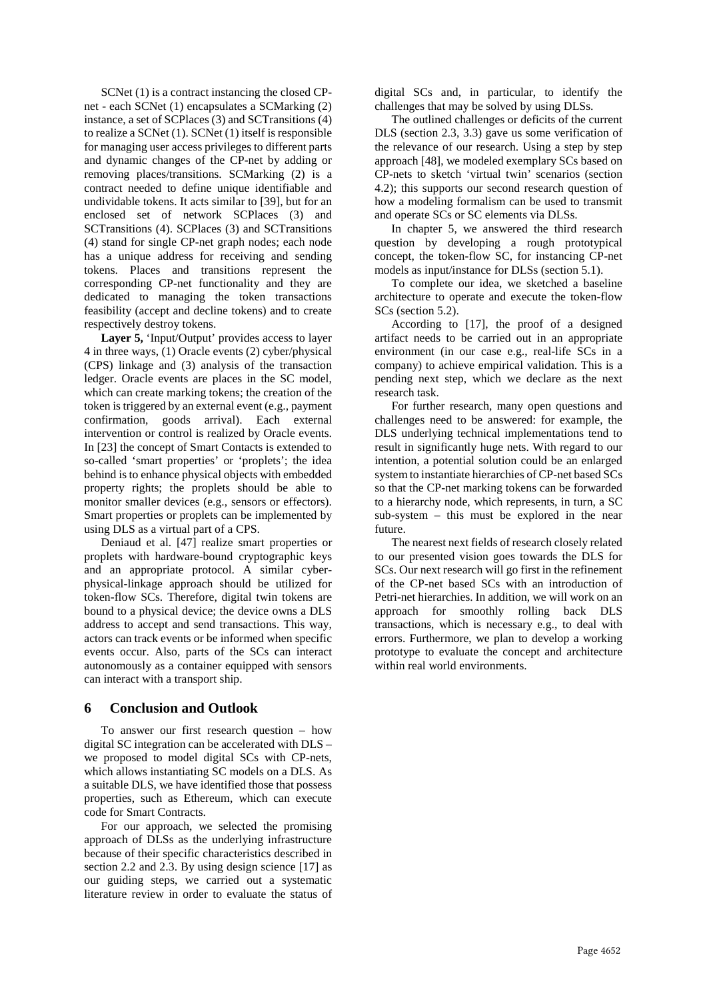SCNet (1) is a contract instancing the closed CPnet - each SCNet (1) encapsulates a SCMarking (2) instance, a set of SCPlaces (3) and SCTransitions (4) to realize a SCNet (1). SCNet (1) itself is responsible for managing user access privileges to different parts and dynamic changes of the CP-net by adding or removing places/transitions. SCMarking (2) is a contract needed to define unique identifiable and undividable tokens. It acts similar to [39], but for an enclosed set of network SCPlaces (3) and SCTransitions (4). SCPlaces (3) and SCTransitions (4) stand for single CP-net graph nodes; each node has a unique address for receiving and sending tokens. Places and transitions represent the corresponding CP-net functionality and they are dedicated to managing the token transactions feasibility (accept and decline tokens) and to create respectively destroy tokens.

Layer 5, 'Input/Output' provides access to layer 4 in three ways, (1) Oracle events (2) cyber/physical (CPS) linkage and (3) analysis of the transaction ledger. Oracle events are places in the SC model, which can create marking tokens; the creation of the token is triggered by an external event (e.g., payment confirmation, goods arrival). Each external intervention or control is realized by Oracle events. In [23] the concept of Smart Contacts is extended to so-called 'smart properties' or 'proplets'; the idea behind is to enhance physical objects with embedded property rights; the proplets should be able to monitor smaller devices (e.g., sensors or effectors). Smart properties or proplets can be implemented by using DLS as a virtual part of a CPS.

Deniaud et al. [47] realize smart properties or proplets with hardware-bound cryptographic keys and an appropriate protocol. A similar cyberphysical-linkage approach should be utilized for token-flow SCs. Therefore, digital twin tokens are bound to a physical device; the device owns a DLS address to accept and send transactions. This way, actors can track events or be informed when specific events occur. Also, parts of the SCs can interact autonomously as a container equipped with sensors can interact with a transport ship.

# **6 Conclusion and Outlook**

To answer our first research question – how digital SC integration can be accelerated with DLS – we proposed to model digital SCs with CP-nets, which allows instantiating SC models on a DLS. As a suitable DLS, we have identified those that possess properties, such as Ethereum, which can execute code for Smart Contracts.

For our approach, we selected the promising approach of DLSs as the underlying infrastructure because of their specific characteristics described in section 2.2 and 2.3. By using design science [17] as our guiding steps, we carried out a systematic literature review in order to evaluate the status of

digital SCs and, in particular, to identify the challenges that may be solved by using DLSs.

The outlined challenges or deficits of the current DLS (section 2.3, 3.3) gave us some verification of the relevance of our research. Using a step by step approach [48], we modeled exemplary SCs based on CP-nets to sketch 'virtual twin' scenarios (section 4.2); this supports our second research question of how a modeling formalism can be used to transmit and operate SCs or SC elements via DLSs.

In chapter 5, we answered the third research question by developing a rough prototypical concept, the token-flow SC, for instancing CP-net models as input/instance for DLSs (section 5.1).

To complete our idea, we sketched a baseline architecture to operate and execute the token-flow SCs (section 5.2).

According to [17], the proof of a designed artifact needs to be carried out in an appropriate environment (in our case e.g., real-life SCs in a company) to achieve empirical validation. This is a pending next step, which we declare as the next research task.

For further research, many open questions and challenges need to be answered: for example, the DLS underlying technical implementations tend to result in significantly huge nets. With regard to our intention, a potential solution could be an enlarged system to instantiate hierarchies of CP-net based SCs so that the CP-net marking tokens can be forwarded to a hierarchy node, which represents, in turn, a SC sub-system – this must be explored in the near future.

The nearest next fields of research closely related to our presented vision goes towards the DLS for SCs. Our next research will go first in the refinement of the CP-net based SCs with an introduction of Petri-net hierarchies. In addition, we will work on an approach for smoothly rolling back DLS transactions, which is necessary e.g., to deal with errors. Furthermore, we plan to develop a working prototype to evaluate the concept and architecture within real world environments.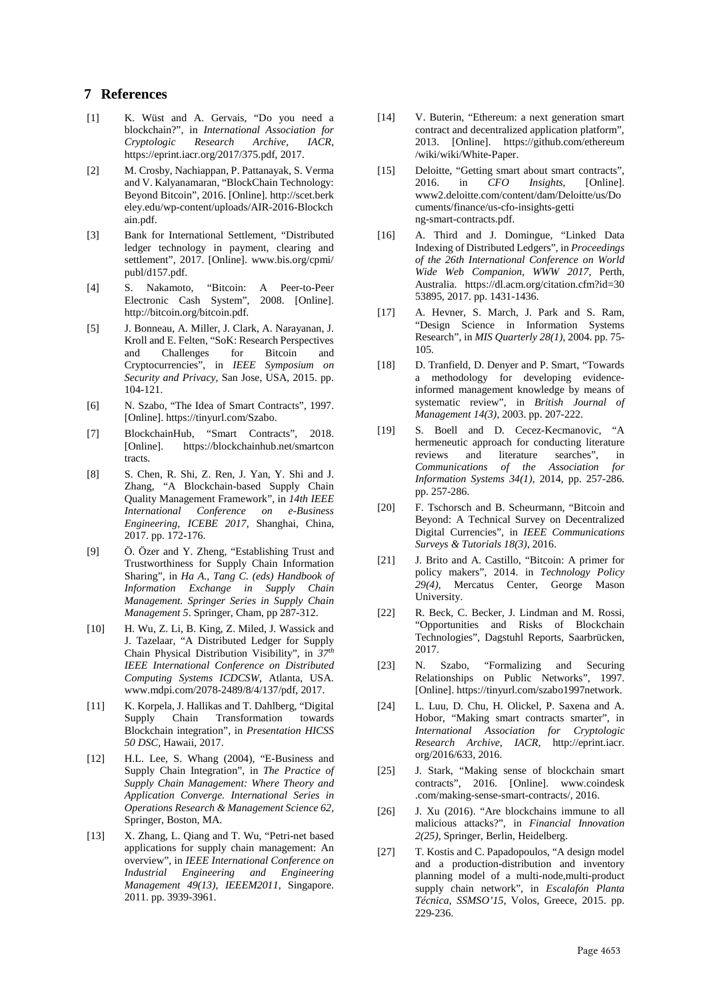# **7 References**

- [1] K. Wüst and A. Gervais, "Do you need a blockchain?", in *International Association for Cryptologic Research Archive, IACR*, https://eprint.iacr.org/2017/375.pdf, 2017.
- [2] M. Crosby, Nachiappan, P. Pattanayak, S. Verma and V. Kalyanamaran, "BlockChain Technology: Beyond Bitcoin", 2016. [Online]. http://scet.berk eley.edu/wp-content/uploads/AIR-2016-Blockch ain.pdf.
- [3] Bank for International Settlement, "Distributed ledger technology in payment, clearing and settlement", 2017. [Online]. www.bis.org/cpmi/ publ/d157.pdf.
- [4] S. Nakamoto, "Bitcoin: A Peer-to-Peer Electronic Cash System", 2008. [Online]. http://bitcoin.org/bitcoin.pdf.
- [5] J. Bonneau, A. Miller, J. Clark, A. Narayanan, J. Kroll and E. Felten, "SoK: Research Perspectives and Challenges for Bitcoin and Cryptocurrencies", in *IEEE Symposium on Security and Privacy*, San Jose, USA, 2015. pp. 104-121.
- [6] N. Szabo, "The Idea of Smart Contracts", 1997. [Online]. https://tinyurl.com/Szabo.
- [7] BlockchainHub, "Smart Contracts", 2018. https://blockchainhub.net/smartcon tracts.
- [8] S. Chen, R. Shi, Z. Ren, J. Yan, Y. Shi and J. Zhang, "A Blockchain-based Supply Chain Quality Management Framework", in *14th IEEE International Conference on e-Business Engineering*, *ICEBE 2017,* Shanghai, China, 2017. pp. 172-176.
- [9] Ö. Özer and Y. Zheng, "Establishing Trust and Trustworthiness for Supply Chain Information Sharing", in *Ha A., Tang C. (eds) Handbook of Information Exchange in Supply Chain Management. Springer Series in Supply Chain Management 5*. Springer, Cham, pp 287-312.
- [10] H. Wu, Z. Li, B. King, Z. Miled, J. Wassick and J. Tazelaar, "A Distributed Ledger for Supply Chain Physical Distribution Visibility", in *37th IEEE International Conference on Distributed Computing Systems ICDCSW*, Atlanta, USA. www.mdpi.com/2078-2489/8/4/137/pdf, 2017.
- [11] K. Korpela, J. Hallikas and T. Dahlberg, "Digital" Supply Chain Transformation towards Blockchain integration", in *Presentation HICSS 50 DSC*, Hawaii, 2017.
- [12] H.L. Lee, S. Whang (2004), "E-Business and Supply Chain Integration", in *The Practice of Supply Chain Management: Where Theory and Application Converge. International Series in Operations Research & Management Science 62*, Springer, Boston, MA.
- [13] X. Zhang, L. Qiang and T. Wu, "Petri-net based applications for supply chain management: An overview", in *IEEE International Conference on Industrial Engineering and Engineering Management 49(13), IEEEM2011*, Singapore. 2011. pp. 3939-3961.
- [14] V. Buterin, "Ethereum: a next generation smart contract and decentralized application platform", 2013. [Online]. https://github.com/ethereum /wiki/wiki/White-Paper.
- [15] Deloitte, "Getting smart about smart contracts", 2016. in *CFO Insights*, [Online]. www2.deloitte.com/content/dam/Deloitte/us/Do cuments/finance/us-cfo-insights-getti ng-smart-contracts.pdf.
- [16] A. Third and J. Domingue, "Linked Data Indexing of Distributed Ledgers", in *Proceedings of the 26th International Conference on World Wide Web Companion, WWW 2017*, Perth, Australia. https://dl.acm.org/citation.cfm?id=30 53895, 2017. pp. 1431-1436.
- [17] A. Hevner, S. March, J. Park and S. Ram, "Design Science in Information Systems Research", in *MIS Quarterly 28(1)*, 2004. pp. 75- 105.
- [18] D. Tranfield, D. Denyer and P. Smart, "Towards a methodology for developing evidenceinformed management knowledge by means of systematic review", in *British Journal of Management 14(3)*, 2003. pp. 207-222.
- [19] S. Boell and D. Cecez-Kecmanovic, "A hermeneutic approach for conducting literature<br>reviews and literature searches". in and literature searches", in *Communications of the Association for Information Systems 34(1)*, 2014, pp. 257-286. pp. 257-286.
- [20] F. Tschorsch and B. Scheurmann, "Bitcoin and Beyond: A Technical Survey on Decentralized Digital Currencies", in *IEEE Communications Surveys & Tutorials 18(3)*, 2016.
- [21] J. Brito and A. Castillo, "Bitcoin: A primer for policy makers", 2014. in *Technology Policy 29(4),* Mercatus Center, George Mason University.
- [22] R. Beck, C. Becker, J. Lindman and M. Rossi, "Opportunities and Risks of Blockchain Technologies", Dagstuhl Reports, Saarbrücken, 2017.
- [23] N. Szabo, "Formalizing and Securing Relationships on Public Networks", 1997. [Online]. https://tinyurl.com/szabo1997network.
- [24] L. Luu, D. Chu, H. Olickel, P. Saxena and A. Hobor, "Making smart contracts smarter", in *International Association for Cryptologic Research Archive, IACR,* http://eprint.iacr. org/2016/633, 2016.
- [25] J. Stark, "Making sense of blockchain smart contracts", 2016. [Online]. www.coindesk .com/making-sense-smart-contracts/, 2016.
- [26] J. Xu (2016). "Are blockchains immune to all malicious attacks?", in *Financial Innovation 2(25)*, Springer, Berlin, Heidelberg.
- [27] T. Kostis and C. Papadopoulos, "A design model and a production-distribution and inventory planning model of a multi-node,multi-product supply chain network", in *Escalafón Planta Técnica, SSMSO'15*, Volos, Greece, 2015. pp. 229-236.